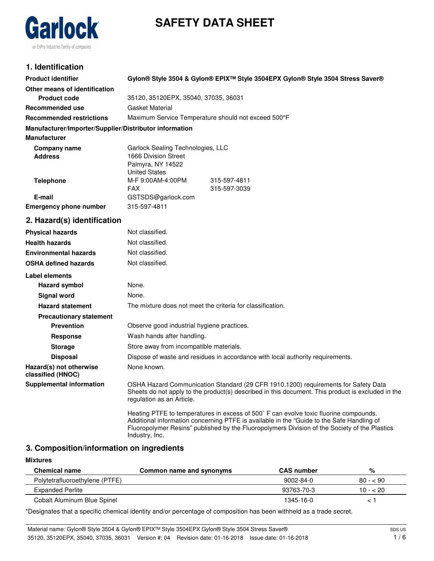# **SAFETY DATA SHEET**



# **1. Identification**

| <b>Product identifier</b>                              | Gylon® Style 3504 & Gylon® EPIX™ Style 3504EPX Gylon® Style 3504 Stress Saver®                                                                                                                                                                                                                        |  |  |
|--------------------------------------------------------|-------------------------------------------------------------------------------------------------------------------------------------------------------------------------------------------------------------------------------------------------------------------------------------------------------|--|--|
| Other means of identification                          |                                                                                                                                                                                                                                                                                                       |  |  |
| <b>Product code</b>                                    | 35120, 35120EPX, 35040, 37035, 36031                                                                                                                                                                                                                                                                  |  |  |
| <b>Recommended use</b>                                 | <b>Gasket Material</b>                                                                                                                                                                                                                                                                                |  |  |
| <b>Recommended restrictions</b>                        | Maximum Service Temperature should not exceed 500°F                                                                                                                                                                                                                                                   |  |  |
| Manufacturer/Importer/Supplier/Distributor information |                                                                                                                                                                                                                                                                                                       |  |  |
| <b>Manufacturer</b>                                    |                                                                                                                                                                                                                                                                                                       |  |  |
| Company name<br><b>Address</b>                         | Garlock Sealing Technologies, LLC<br>1666 Division Street                                                                                                                                                                                                                                             |  |  |
|                                                        | Palmyra, NY 14522<br><b>United States</b>                                                                                                                                                                                                                                                             |  |  |
| <b>Telephone</b>                                       | M-F 9:00AM-4:00PM<br>315-597-4811<br>FAX.<br>315-597-3039                                                                                                                                                                                                                                             |  |  |
| E-mail                                                 | GSTSDS@garlock.com                                                                                                                                                                                                                                                                                    |  |  |
| <b>Emergency phone number</b>                          | 315-597-4811                                                                                                                                                                                                                                                                                          |  |  |
| 2. Hazard(s) identification                            |                                                                                                                                                                                                                                                                                                       |  |  |
| <b>Physical hazards</b>                                | Not classified.                                                                                                                                                                                                                                                                                       |  |  |
| <b>Health hazards</b>                                  | Not classified.                                                                                                                                                                                                                                                                                       |  |  |
| <b>Environmental hazards</b>                           | Not classified.                                                                                                                                                                                                                                                                                       |  |  |
| <b>OSHA defined hazards</b>                            | Not classified.                                                                                                                                                                                                                                                                                       |  |  |
| Label elements                                         |                                                                                                                                                                                                                                                                                                       |  |  |
| <b>Hazard symbol</b>                                   | None.                                                                                                                                                                                                                                                                                                 |  |  |
| <b>Signal word</b>                                     | None.                                                                                                                                                                                                                                                                                                 |  |  |
| <b>Hazard statement</b>                                | The mixture does not meet the criteria for classification.                                                                                                                                                                                                                                            |  |  |
| <b>Precautionary statement</b>                         |                                                                                                                                                                                                                                                                                                       |  |  |
| <b>Prevention</b>                                      | Observe good industrial hygiene practices.                                                                                                                                                                                                                                                            |  |  |
| <b>Response</b>                                        | Wash hands after handling.                                                                                                                                                                                                                                                                            |  |  |
| <b>Storage</b>                                         | Store away from incompatible materials.                                                                                                                                                                                                                                                               |  |  |
| <b>Disposal</b>                                        | Dispose of waste and residues in accordance with local authority requirements.                                                                                                                                                                                                                        |  |  |
| Hazard(s) not otherwise<br>classified (HNOC)           | None known.                                                                                                                                                                                                                                                                                           |  |  |
| <b>Supplemental information</b>                        | OSHA Hazard Communication Standard (29 CFR 1910.1200) requirements for Safety Data<br>Sheets do not apply to the product(s) described in this document. This product is excluded in the<br>regulation as an Article.                                                                                  |  |  |
|                                                        | Heating PTFE to temperatures in excess of 500° F can evolve toxic fluorine compounds.<br>Additional information concerning PTFE is available in the "Guide to the Safe Handling of<br>Fluoropolymer Resins" published by the Fluoropolymers Division of the Society of the Plastics<br>Industry, Inc. |  |  |
|                                                        |                                                                                                                                                                                                                                                                                                       |  |  |

# **3. Composition/information on ingredients**

### **Mixtures**

| <b>Chemical name</b>           | Common name and synonyms | <b>CAS</b> number | %         |
|--------------------------------|--------------------------|-------------------|-----------|
| Polytetrafluoroethylene (PTFE) |                          | $9002 - 84 - 0$   | $80 - 90$ |
| <b>Expanded Perlite</b>        |                          | 93763-70-3        | $10 - 20$ |
| Cobalt Aluminum Blue Spinel    |                          | 1345-16-0         |           |

\*Designates that a specific chemical identity and/or percentage of composition has been withheld as a trade secret.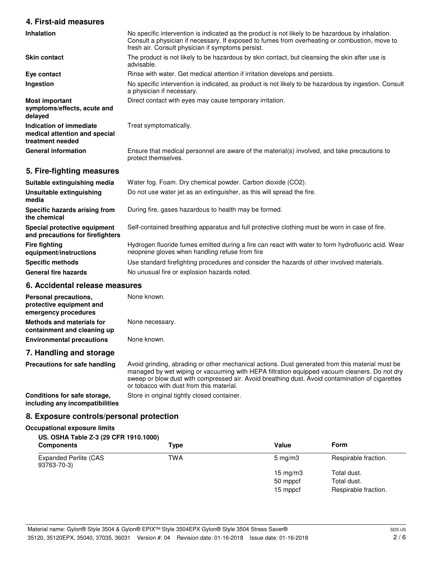### **4. First-aid measures**

| Inhalation                                                                   | No specific intervention is indicated as the product is not likely to be hazardous by inhalation.<br>Consult a physician if necessary. If exposed to fumes from overheating or combustion, move to<br>fresh air. Consult physician if symptoms persist. |
|------------------------------------------------------------------------------|---------------------------------------------------------------------------------------------------------------------------------------------------------------------------------------------------------------------------------------------------------|
| <b>Skin contact</b>                                                          | The product is not likely to be hazardous by skin contact, but cleansing the skin after use is<br>advisable.                                                                                                                                            |
| Eye contact                                                                  | Rinse with water. Get medical attention if irritation develops and persists.                                                                                                                                                                            |
| Ingestion                                                                    | No specific intervention is indicated, as product is not likely to be hazardous by ingestion. Consult<br>a physician if necessary.                                                                                                                      |
| <b>Most important</b><br>symptoms/effects, acute and<br>delayed              | Direct contact with eyes may cause temporary irritation.                                                                                                                                                                                                |
| Indication of immediate<br>medical attention and special<br>treatment needed | Treat symptomatically.                                                                                                                                                                                                                                  |
| <b>General information</b>                                                   | Ensure that medical personnel are aware of the material(s) involved, and take precautions to<br>protect themselves.                                                                                                                                     |
| 5. Fire-fighting measures                                                    |                                                                                                                                                                                                                                                         |

| Suitable extinguishing media                                     | Water fog. Foam. Dry chemical powder. Carbon dioxide (CO2).                                                                                          |
|------------------------------------------------------------------|------------------------------------------------------------------------------------------------------------------------------------------------------|
| Unsuitable extinguishing<br>media                                | Do not use water jet as an extinguisher, as this will spread the fire.                                                                               |
| Specific hazards arising from<br>the chemical                    | During fire, gases hazardous to health may be formed.                                                                                                |
| Special protective equipment<br>and precautions for firefighters | Self-contained breathing apparatus and full protective clothing must be worn in case of fire.                                                        |
| <b>Fire fighting</b><br>equipment/instructions                   | Hydrogen fluoride fumes emitted during a fire can react with water to form hydrofluoric acid. Wear<br>neoprene gloves when handling refuse from fire |
| <b>Specific methods</b>                                          | Use standard firefighting procedures and consider the hazards of other involved materials.                                                           |
| <b>General fire hazards</b>                                      | No unusual fire or explosion hazards noted.                                                                                                          |

# **6. Accidental release measures**

| Personal precautions,<br>protective equipment and<br>emergency procedures | None known.     |
|---------------------------------------------------------------------------|-----------------|
| Methods and materials for<br>containment and cleaning up                  | None necessary. |
| <b>Environmental precautions</b>                                          | None known.     |
| 7 Llandling and atavana                                                   |                 |

# **7. Handling and storage Precautions for safe handling**

Avoid grinding, abrading or other mechanical actions. Dust generated from this material must be managed by wet wiping or vacuuming with HEPA filtration equipped vacuum cleaners. Do not dry sweep or blow dust with compressed air. Avoid breathing dust. Avoid contamination of cigarettes or tobacco with dust from this material.

**Conditions for safe storage, Store in original tightly closed container. including any incompatibilities**

# **8. Exposure controls/personal protection**

### **Occupational exposure limits**

### **US. OSHA Table Z-3 (29 CFR 1910.1000)**

| <b>Components</b>                           | Type | Value            | <b>Form</b>          |
|---------------------------------------------|------|------------------|----------------------|
| <b>Expanded Perlite (CAS</b><br>93763-70-3) | TWA  | $5 \text{ mg/m}$ | Respirable fraction. |
|                                             |      | 15 mg/m $3$      | Total dust.          |
|                                             |      | 50 mppcf         | Total dust.          |
|                                             |      | 15 mppcf         | Respirable fraction. |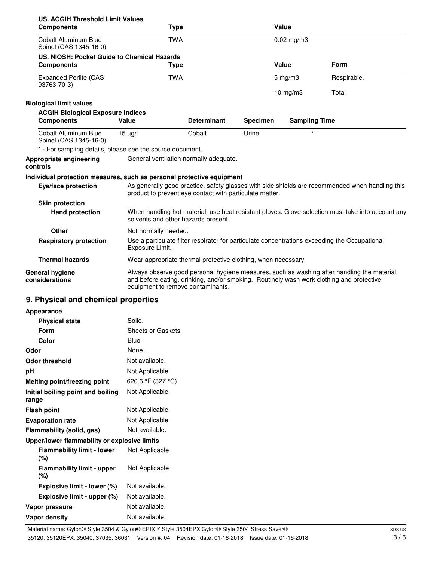| US. ACGIH Threshold Limit Values                                      |                                                                                                                                          |                      |                 |                      |                                                                                                 |
|-----------------------------------------------------------------------|------------------------------------------------------------------------------------------------------------------------------------------|----------------------|-----------------|----------------------|-------------------------------------------------------------------------------------------------|
| <b>Components</b>                                                     | <b>Type</b>                                                                                                                              |                      |                 | Value                |                                                                                                 |
| Cobalt Aluminum Blue<br>Spinel (CAS 1345-16-0)                        | <b>TWA</b>                                                                                                                               |                      |                 | $0.02$ mg/m $3$      |                                                                                                 |
| US. NIOSH: Pocket Guide to Chemical Hazards                           |                                                                                                                                          |                      |                 |                      |                                                                                                 |
| <b>Components</b>                                                     | <b>Type</b>                                                                                                                              |                      |                 | Value                | Form                                                                                            |
| <b>Expanded Perlite (CAS</b><br>93763-70-3)                           | <b>TWA</b>                                                                                                                               |                      |                 | $5$ mg/m $3$         | Respirable.                                                                                     |
|                                                                       |                                                                                                                                          |                      |                 | 10 $mg/m3$           | Total                                                                                           |
| <b>Biological limit values</b>                                        |                                                                                                                                          |                      |                 |                      |                                                                                                 |
| <b>ACGIH Biological Exposure Indices</b>                              |                                                                                                                                          |                      |                 |                      |                                                                                                 |
| <b>Components</b>                                                     | Value                                                                                                                                    | <b>Determinant</b>   | <b>Specimen</b> | <b>Sampling Time</b> |                                                                                                 |
| Cobalt Aluminum Blue<br>Spinel (CAS 1345-16-0)                        | $15 \mu g/l$                                                                                                                             | Cobalt               | Urine           | $\star$              |                                                                                                 |
| * - For sampling details, please see the source document.             |                                                                                                                                          |                      |                 |                      |                                                                                                 |
| Appropriate engineering<br>controls                                   | General ventilation normally adequate.                                                                                                   |                      |                 |                      |                                                                                                 |
| Individual protection measures, such as personal protective equipment |                                                                                                                                          |                      |                 |                      |                                                                                                 |
| Eye/face protection                                                   | product to prevent eye contact with particulate matter.                                                                                  |                      |                 |                      | As generally good practice, safety glasses with side shields are recommended when handling this |
| <b>Skin protection</b>                                                |                                                                                                                                          |                      |                 |                      |                                                                                                 |
| <b>Hand protection</b>                                                | When handling hot material, use heat resistant gloves. Glove selection must take into account any<br>solvents and other hazards present. |                      |                 |                      |                                                                                                 |
| Other                                                                 |                                                                                                                                          | Not normally needed. |                 |                      |                                                                                                 |
| <b>Respiratory protection</b>                                         | Use a particulate filter respirator for particulate concentrations exceeding the Occupational<br>Exposure Limit.                         |                      |                 |                      |                                                                                                 |
| <b>Thermal hazards</b>                                                | Wear appropriate thermal protective clothing, when necessary.                                                                            |                      |                 |                      |                                                                                                 |
| <b>General hygiene</b><br>considerations                              | and before eating, drinking, and/or smoking. Routinely wash work clothing and protective<br>equipment to remove contaminants.            |                      |                 |                      | Always observe good personal hygiene measures, such as washing after handling the material      |
| 9. Physical and chemical properties                                   |                                                                                                                                          |                      |                 |                      |                                                                                                 |

#### **Appearance**

| <b>Physical state</b>                        | Solid.                   |
|----------------------------------------------|--------------------------|
| Form                                         | <b>Sheets or Gaskets</b> |
| Color                                        | Blue                     |
| Odor                                         | None.                    |
| <b>Odor threshold</b>                        | Not available.           |
| рH                                           | Not Applicable           |
| Melting point/freezing point                 | 620.6 °F (327 °C)        |
| Initial boiling point and boiling<br>range   | Not Applicable           |
| <b>Flash point</b>                           | Not Applicable           |
| <b>Evaporation rate</b>                      | Not Applicable           |
| Flammability (solid, gas)                    | Not available.           |
| Upper/lower flammability or explosive limits |                          |
| <b>Flammability limit - lower</b><br>(%)     | Not Applicable           |
| <b>Flammability limit - upper</b><br>(%)     | Not Applicable           |
| Explosive limit - lower (%)                  | Not available.           |
| Explosive limit - upper (%)                  | Not available.           |
| Vapor pressure                               | Not available.           |
| <b>Vapor density</b>                         | Not available.           |
|                                              |                          |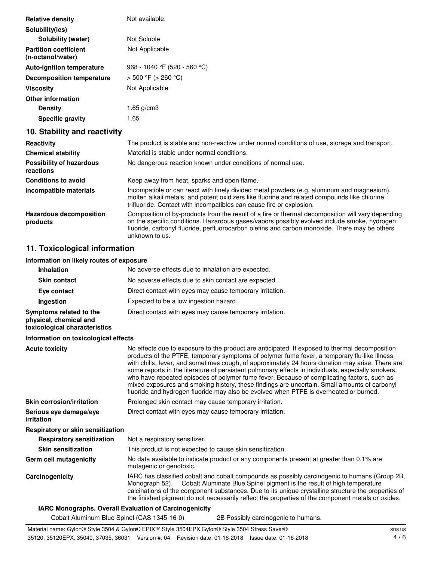| <b>Relative density</b>                           | Not available.               |
|---------------------------------------------------|------------------------------|
| Solubility(ies)                                   |                              |
| Solubility (water)                                | Not Soluble                  |
| <b>Partition coefficient</b><br>(n-octanol/water) | Not Applicable               |
| <b>Auto-ignition temperature</b>                  | 968 - 1040 °F (520 - 560 °C) |
| <b>Decomposition temperature</b>                  | $>$ 500 °F ( $>$ 260 °C)     |
| <b>Viscosity</b>                                  | Not Applicable               |
| <b>Other information</b>                          |                              |
| <b>Density</b>                                    | 1.65 a/cm3                   |
| <b>Specific gravity</b>                           | 1.65                         |

# **10. Stability and reactivity**

| Reactivity                                   | The product is stable and non-reactive under normal conditions of use, storage and transport.                                                                                                                                                                                                                       |
|----------------------------------------------|---------------------------------------------------------------------------------------------------------------------------------------------------------------------------------------------------------------------------------------------------------------------------------------------------------------------|
| <b>Chemical stability</b>                    | Material is stable under normal conditions.                                                                                                                                                                                                                                                                         |
| <b>Possibility of hazardous</b><br>reactions | No dangerous reaction known under conditions of normal use.                                                                                                                                                                                                                                                         |
| <b>Conditions to avoid</b>                   | Keep away from heat, sparks and open flame.                                                                                                                                                                                                                                                                         |
| Incompatible materials                       | Incompatible or can react with finely divided metal powders (e.g. aluminum and magnesium),<br>molten alkali metals, and potent oxidizers like fluorine and related compounds like chlorine<br>trifluoride. Contact with incompatibles can cause fire or explosion.                                                  |
| <b>Hazardous decomposition</b><br>products   | Composition of by-products from the result of a fire or thermal decomposition will vary depending<br>on the specific conditions. Hazardous gases/vapors possibly evolved include smoke, hydrogen<br>fluoride, carbonyl fluoride, perfluorocarbon olefins and carbon monoxide. There may be others<br>unknown to us. |

# **11. Toxicological information**

### **Information on likely routes of exposure**

| <b>Inhalation</b>                                                                  | No adverse effects due to inhalation are expected.                                                                                                                                                                                                                                                                                                                                                                                                                                                                                                                                                                                                                                              |
|------------------------------------------------------------------------------------|-------------------------------------------------------------------------------------------------------------------------------------------------------------------------------------------------------------------------------------------------------------------------------------------------------------------------------------------------------------------------------------------------------------------------------------------------------------------------------------------------------------------------------------------------------------------------------------------------------------------------------------------------------------------------------------------------|
| <b>Skin contact</b>                                                                | No adverse effects due to skin contact are expected.                                                                                                                                                                                                                                                                                                                                                                                                                                                                                                                                                                                                                                            |
| Eye contact                                                                        | Direct contact with eyes may cause temporary irritation.                                                                                                                                                                                                                                                                                                                                                                                                                                                                                                                                                                                                                                        |
| Ingestion                                                                          | Expected to be a low ingestion hazard.                                                                                                                                                                                                                                                                                                                                                                                                                                                                                                                                                                                                                                                          |
| Symptoms related to the<br>physical, chemical and<br>toxicological characteristics | Direct contact with eyes may cause temporary irritation.                                                                                                                                                                                                                                                                                                                                                                                                                                                                                                                                                                                                                                        |
| Information on toxicological effects                                               |                                                                                                                                                                                                                                                                                                                                                                                                                                                                                                                                                                                                                                                                                                 |
| <b>Acute toxicity</b>                                                              | No effects due to exposure to the product are anticipated. If exposed to thermal decomposition<br>products of the PTFE, temporary symptoms of polymer fume fever, a temporary flu-like illness<br>with chills, fever, and sometimes cough, of approximately 24 hours duration may arise. There are<br>some reports in the literature of persistent pulmonary effects in individuals, especially smokers,<br>who have repeated episodes of polymer fume fever. Because of complicating factors, such as<br>mixed exposures and smoking history, these findings are uncertain. Small amounts of carbonyl<br>fluoride and hydrogen fluoride may also be evolved when PTFE is overheated or burned. |
| <b>Skin corrosion/irritation</b>                                                   | Prolonged skin contact may cause temporary irritation.                                                                                                                                                                                                                                                                                                                                                                                                                                                                                                                                                                                                                                          |
| Serious eye damage/eye<br>irritation                                               | Direct contact with eyes may cause temporary irritation.                                                                                                                                                                                                                                                                                                                                                                                                                                                                                                                                                                                                                                        |
| Respiratory or skin sensitization                                                  |                                                                                                                                                                                                                                                                                                                                                                                                                                                                                                                                                                                                                                                                                                 |
| <b>Respiratory sensitization</b>                                                   | Not a respiratory sensitizer.                                                                                                                                                                                                                                                                                                                                                                                                                                                                                                                                                                                                                                                                   |
| <b>Skin sensitization</b>                                                          | This product is not expected to cause skin sensitization.                                                                                                                                                                                                                                                                                                                                                                                                                                                                                                                                                                                                                                       |
| Germ cell mutagenicity                                                             | No data available to indicate product or any components present at greater than 0.1% are<br>mutagenic or genotoxic.                                                                                                                                                                                                                                                                                                                                                                                                                                                                                                                                                                             |
| Carcinogenicity                                                                    | IARC has classified cobalt and cobalt compounds as possibly carcinogenic to humans (Group 2B,<br>Monograph 52). Cobalt Aluminate Blue Spinel pigment is the result of high temperature<br>calcinations of the component substances. Due to its unique crystalline structure the properties of<br>the finished pigment do not necessarily reflect the properties of the component metals or oxides.                                                                                                                                                                                                                                                                                              |
|                                                                                    | <b>IARC Monographs. Overall Evaluation of Carcinogenicity</b>                                                                                                                                                                                                                                                                                                                                                                                                                                                                                                                                                                                                                                   |
|                                                                                    |                                                                                                                                                                                                                                                                                                                                                                                                                                                                                                                                                                                                                                                                                                 |

Cobalt Aluminum Blue Spinel (CAS 1345-16-0) 2B Possibly carcinogenic to humans.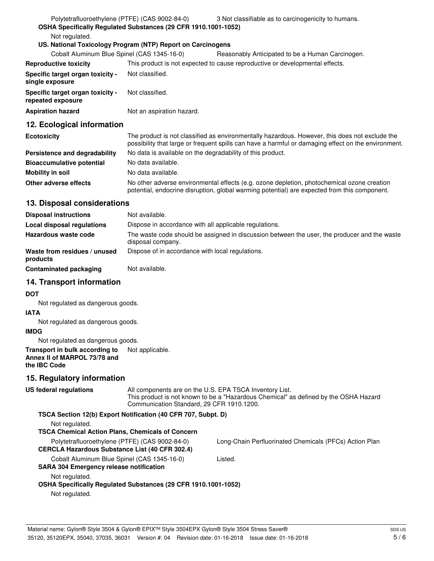| Polytetrafluoroethylene (PTFE) (CAS 9002-84-0)        |                                                                | 3 Not classifiable as to carcinogenicity to humans.                                                                                                                                                   |
|-------------------------------------------------------|----------------------------------------------------------------|-------------------------------------------------------------------------------------------------------------------------------------------------------------------------------------------------------|
|                                                       | OSHA Specifically Regulated Substances (29 CFR 1910.1001-1052) |                                                                                                                                                                                                       |
| Not regulated.                                        |                                                                |                                                                                                                                                                                                       |
|                                                       | US. National Toxicology Program (NTP) Report on Carcinogens    |                                                                                                                                                                                                       |
| Cobalt Aluminum Blue Spinel (CAS 1345-16-0)           |                                                                | Reasonably Anticipated to be a Human Carcinogen.                                                                                                                                                      |
| <b>Reproductive toxicity</b>                          |                                                                | This product is not expected to cause reproductive or developmental effects.                                                                                                                          |
| Specific target organ toxicity -<br>single exposure   | Not classified.                                                |                                                                                                                                                                                                       |
| Specific target organ toxicity -<br>repeated exposure | Not classified.                                                |                                                                                                                                                                                                       |
| <b>Aspiration hazard</b>                              | Not an aspiration hazard.                                      |                                                                                                                                                                                                       |
| 12. Ecological information                            |                                                                |                                                                                                                                                                                                       |
| <b>Ecotoxicity</b>                                    |                                                                | The product is not classified as environmentally hazardous. However, this does not exclude the<br>possibility that large or frequent spills can have a harmful or damaging effect on the environment. |
| Persistence and degradability                         | No data is available on the degradability of this product.     |                                                                                                                                                                                                       |

| Persistence and degradability    | No data is available on the degradability of this product.                                                                                                                                 |
|----------------------------------|--------------------------------------------------------------------------------------------------------------------------------------------------------------------------------------------|
| <b>Bioaccumulative potential</b> | No data available.                                                                                                                                                                         |
| Mobility in soil                 | No data available.                                                                                                                                                                         |
| Other adverse effects            | No other adverse environmental effects (e.g. ozone depletion, photochemical ozone creation<br>potential, endocrine disruption, global warming potential) are expected from this component. |

# **13. Disposal considerations**

| <b>Disposal instructions</b>             | Not available.                                                                                                    |
|------------------------------------------|-------------------------------------------------------------------------------------------------------------------|
| Local disposal regulations               | Dispose in accordance with all applicable regulations.                                                            |
| Hazardous waste code                     | The waste code should be assigned in discussion between the user, the producer and the waste<br>disposal company. |
| Waste from residues / unused<br>products | Dispose of in accordance with local regulations.                                                                  |
| <b>Contaminated packaging</b>            | Not available.                                                                                                    |

# **14. Transport information**

### **DOT**

Not regulated as dangerous goods.

### **IATA**

Not regulated as dangerous goods.

### **IMDG**

Not regulated as dangerous goods.

#### **Transport in bulk according to** Not applicable. **Annex II of MARPOL 73/78 and the IBC Code**

# **15. Regulatory information**

| US federal regulations                         | Communication Standard, 29 CFR 1910.1200.                      | All components are on the U.S. EPA TSCA Inventory List.<br>This product is not known to be a "Hazardous Chemical" as defined by the OSHA Hazard |
|------------------------------------------------|----------------------------------------------------------------|-------------------------------------------------------------------------------------------------------------------------------------------------|
|                                                | TSCA Section 12(b) Export Notification (40 CFR 707, Subpt. D)  |                                                                                                                                                 |
| Not regulated.                                 |                                                                |                                                                                                                                                 |
|                                                | <b>TSCA Chemical Action Plans, Chemicals of Concern</b>        |                                                                                                                                                 |
| Polytetrafluoroethylene (PTFE) (CAS 9002-84-0) |                                                                | Long-Chain Perfluorinated Chemicals (PFCs) Action Plan                                                                                          |
|                                                | <b>CERCLA Hazardous Substance List (40 CFR 302.4)</b>          |                                                                                                                                                 |
| Cobalt Aluminum Blue Spinel (CAS 1345-16-0)    |                                                                | Listed.                                                                                                                                         |
| <b>SARA 304 Emergency release notification</b> |                                                                |                                                                                                                                                 |
| Not regulated.                                 |                                                                |                                                                                                                                                 |
|                                                | OSHA Specifically Regulated Substances (29 CFR 1910.1001-1052) |                                                                                                                                                 |
| Not regulated.                                 |                                                                |                                                                                                                                                 |